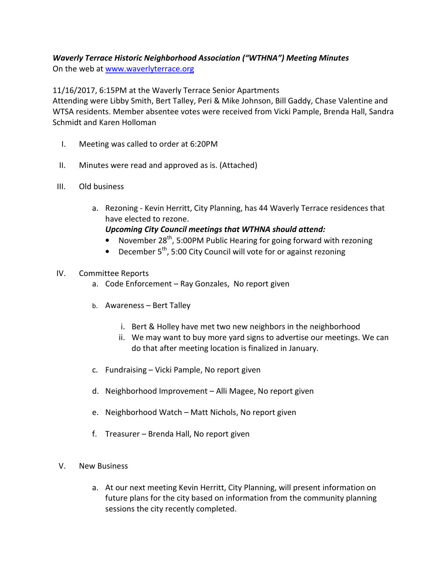# Waverly Terrace Historic Neighborhood Association ("WTHNA") Meeting Minutes

On the web at www.waverlyterrace.org

11/16/2017, 6:15PM at the Waverly Terrace Senior Apartments

Attending were Libby Smith, Bert Talley, Peri & Mike Johnson, Bill Gaddy, Chase Valentine and WTSA residents. Member absentee votes were received from Vicki Pample, Brenda Hall, Sandra Schmidt and Karen Holloman

- I. Meeting was called to order at 6:20PM
- II. Minutes were read and approved as is. (Attached)
- III. Old business
	- a. Rezoning Kevin Herritt, City Planning, has 44 Waverly Terrace residences that have elected to rezone.

Upcoming City Council meetings that WTHNA should attend:

- November 28<sup>th</sup>, 5:00PM Public Hearing for going forward with rezoning
- December  $5<sup>th</sup>$ , 5:00 City Council will vote for or against rezoning

#### IV. Committee Reports

- a. Code Enforcement Ray Gonzales, No report given
- b. Awareness Bert Talley
	- i. Bert & Holley have met two new neighbors in the neighborhood
	- ii. We may want to buy more yard signs to advertise our meetings. We can do that after meeting location is finalized in January.
- c. Fundraising Vicki Pample, No report given
- d. Neighborhood Improvement Alli Magee, No report given
- e. Neighborhood Watch Matt Nichols, No report given
- f. Treasurer Brenda Hall, No report given
- V. New Business
	- a. At our next meeting Kevin Herritt, City Planning, will present information on future plans for the city based on information from the community planning sessions the city recently completed.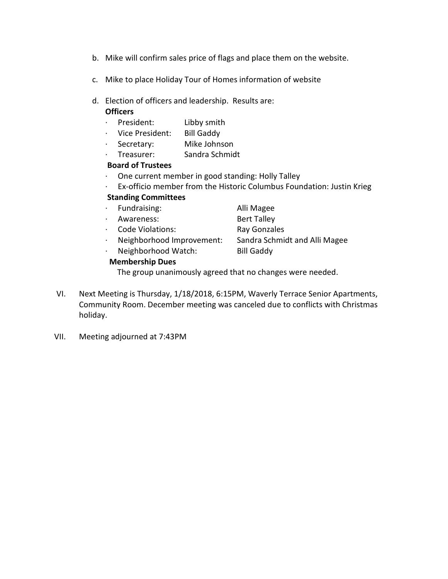- b. Mike will confirm sales price of flags and place them on the website.
- c. Mike to place Holiday Tour of Homes information of website
- d. Election of officers and leadership. Results are:

#### **Officers**

- · President: Libby smith
- · Vice President: Bill Gaddy
- · Secretary: Mike Johnson
- · Treasurer: Sandra Schmidt

#### Board of Trustees

- · One current member in good standing: Holly Talley
- · Ex-officio member from the Historic Columbus Foundation: Justin Krieg

### Standing Committees

- · Fundraising: Alli Magee
- · Awareness: Bert Talley
- · Code Violations: Ray Gonzales
- · Neighborhood Improvement: Sandra Schmidt and Alli Magee
- · Neighborhood Watch: Bill Gaddy

## Membership Dues

- 
- 

The group unanimously agreed that no changes were needed.

- VI. Next Meeting is Thursday, 1/18/2018, 6:15PM, Waverly Terrace Senior Apartments, Community Room. December meeting was canceled due to conflicts with Christmas holiday.
- VII. Meeting adjourned at 7:43PM